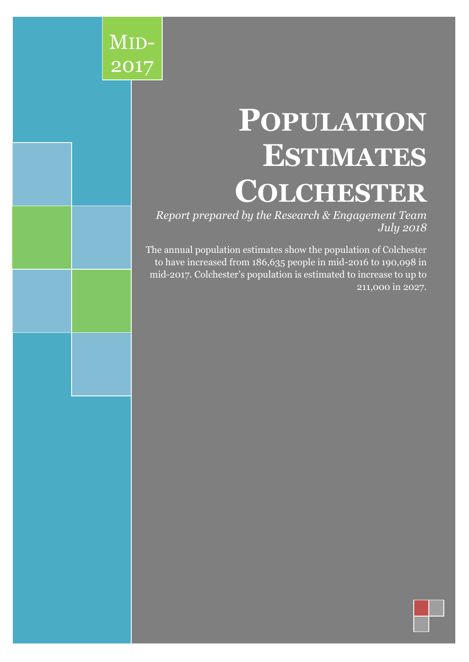# **POPULATION ESTIMATES COLCHESTER**

*Report prepared by the Research & Engagement Team July 2018*

MID-

2017

The annual population estimates show the population of Colchester to have increased from 186,635 people in mid-2016 to 190,098 in mid-2017. Colchester's population is estimated to increase to up to 211,000 in 2027.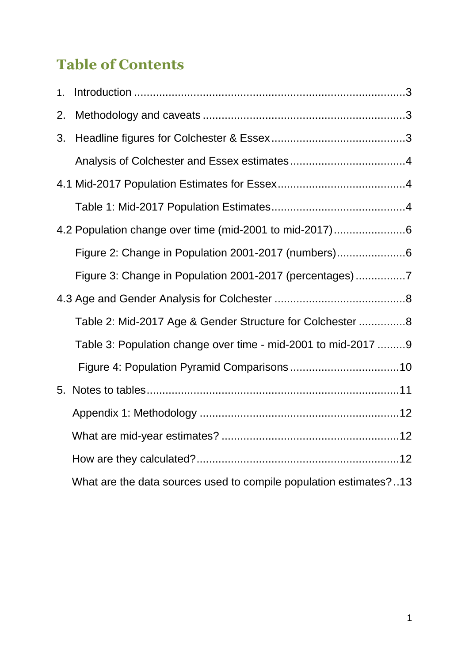# **Table of Contents**

| 1. |                                                                   |  |
|----|-------------------------------------------------------------------|--|
| 2. |                                                                   |  |
| 3. |                                                                   |  |
|    |                                                                   |  |
|    |                                                                   |  |
|    |                                                                   |  |
|    | 4.2 Population change over time (mid-2001 to mid-2017)6           |  |
|    | Figure 2: Change in Population 2001-2017 (numbers)6               |  |
|    | Figure 3: Change in Population 2001-2017 (percentages) 7          |  |
|    |                                                                   |  |
|    | Table 2: Mid-2017 Age & Gender Structure for Colchester 8         |  |
|    | Table 3: Population change over time - mid-2001 to mid-2017 9     |  |
|    |                                                                   |  |
| 5. |                                                                   |  |
|    |                                                                   |  |
|    |                                                                   |  |
|    |                                                                   |  |
|    | What are the data sources used to compile population estimates?13 |  |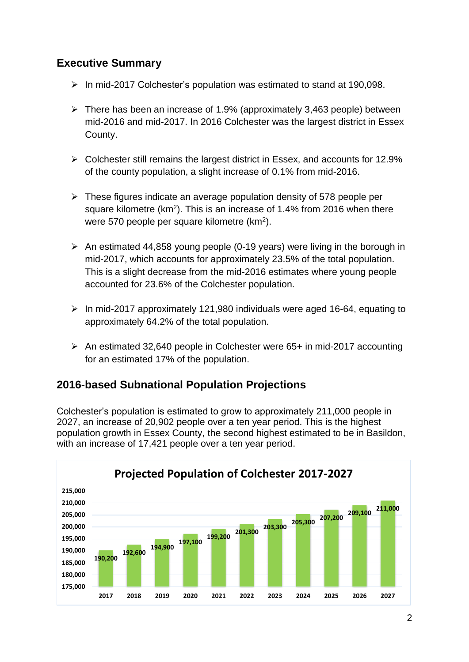#### **Executive Summary**

- $\triangleright$  In mid-2017 Colchester's population was estimated to stand at 190,098.
- $\triangleright$  There has been an increase of 1.9% (approximately 3,463 people) between mid-2016 and mid-2017. In 2016 Colchester was the largest district in Essex County.
- $\triangleright$  Colchester still remains the largest district in Essex, and accounts for 12.9% of the county population, a slight increase of 0.1% from mid-2016.
- $\triangleright$  These figures indicate an average population density of 578 people per square kilometre (km<sup>2</sup>). This is an increase of 1.4% from 2016 when there were 570 people per square kilometre ( $km<sup>2</sup>$ ).
- $\triangleright$  An estimated 44,858 young people (0-19 years) were living in the borough in mid-2017, which accounts for approximately 23.5% of the total population. This is a slight decrease from the mid-2016 estimates where young people accounted for 23.6% of the Colchester population.
- $\triangleright$  In mid-2017 approximately 121,980 individuals were aged 16-64, equating to approximately 64.2% of the total population.
- $\triangleright$  An estimated 32,640 people in Colchester were 65+ in mid-2017 accounting for an estimated 17% of the population.

# **2016-based Subnational Population Projections**

Colchester's population is estimated to grow to approximately 211,000 people in 2027, an increase of 20,902 people over a ten year period. This is the highest population growth in Essex County, the second highest estimated to be in Basildon, with an increase of 17,421 people over a ten year period.

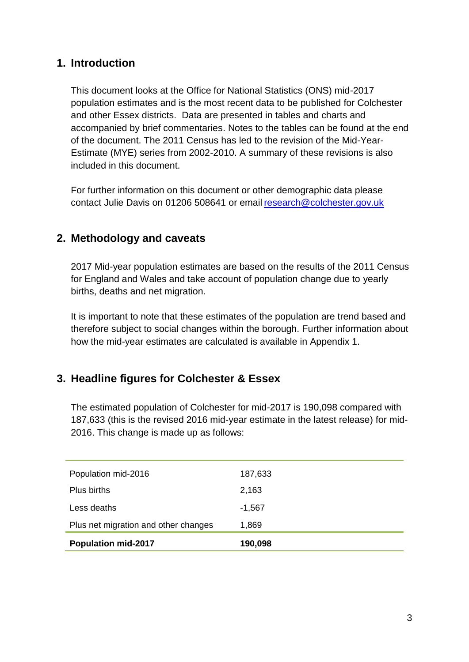#### <span id="page-3-0"></span>**1. Introduction**

This document looks at the Office for National Statistics (ONS) mid-2017 population estimates and is the most recent data to be published for Colchester and other Essex districts. Data are presented in tables and charts and accompanied by brief commentaries. Notes to the tables can be found at the end of the document. The 2011 Census has led to the revision of the Mid-Year-Estimate (MYE) series from 2002-2010. A summary of these revisions is also included in this document.

For further information on this document or other demographic data please contact Julie Davis on 01206 508641 or email [research@colchester.gov.uk](mailto:research@colchester.gov.uk)

#### <span id="page-3-1"></span>**2. Methodology and caveats**

2017 Mid-year population estimates are based on the results of the 2011 Census for England and Wales and take account of population change due to yearly births, deaths and net migration.

It is important to note that these estimates of the population are trend based and therefore subject to social changes within the borough. Further information about how the mid-year estimates are calculated is available in Appendix 1.

#### <span id="page-3-2"></span>**3. Headline figures for Colchester & Essex**

The estimated population of Colchester for mid-2017 is 190,098 compared with 187,633 (this is the revised 2016 mid-year estimate in the latest release) for mid-2016. This change is made up as follows:

| Population mid-2016                  | 187,633  |
|--------------------------------------|----------|
| <b>Plus births</b>                   | 2,163    |
| Less deaths                          | $-1,567$ |
| Plus net migration and other changes | 1,869    |
| <b>Population mid-2017</b>           | 190,098  |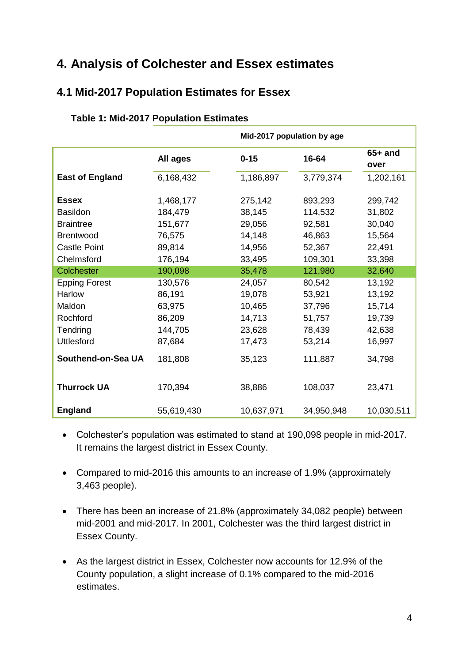# <span id="page-4-0"></span>**4. Analysis of Colchester and Essex estimates**

# <span id="page-4-1"></span>**4.1 Mid-2017 Population Estimates for Essex**

|  |  |  |  |  | <b>Table 1: Mid-2017 Population Estimates</b> |
|--|--|--|--|--|-----------------------------------------------|
|--|--|--|--|--|-----------------------------------------------|

<span id="page-4-2"></span>

|                                 | Mid-2017 population by age |                   |                    |                   |  |  |  |
|---------------------------------|----------------------------|-------------------|--------------------|-------------------|--|--|--|
|                                 | All ages                   | $0 - 15$          | 16-64              | $65+$ and<br>over |  |  |  |
| <b>East of England</b>          | 6,168,432                  | 1,186,897         | 3,779,374          | 1,202,161         |  |  |  |
| <b>Essex</b><br><b>Basildon</b> | 1,468,177<br>184,479       | 275,142<br>38,145 | 893,293<br>114,532 | 299,742<br>31,802 |  |  |  |
| <b>Braintree</b>                | 151,677                    | 29,056            | 92,581             | 30,040            |  |  |  |
| <b>Brentwood</b>                | 76,575                     | 14,148            | 46,863             | 15,564            |  |  |  |
| <b>Castle Point</b>             | 89,814                     | 14,956            | 52,367             | 22,491            |  |  |  |
| Chelmsford                      | 176,194                    | 33,495            | 109,301            | 33,398            |  |  |  |
| Colchester                      | 190,098                    | 35,478            | 121,980            | 32,640            |  |  |  |
| <b>Epping Forest</b>            | 130,576                    | 24,057            | 80,542             | 13,192            |  |  |  |
| Harlow                          | 86,191                     | 19,078            | 53,921             | 13,192            |  |  |  |
| Maldon                          | 63,975                     | 10,465            | 37,796             | 15,714            |  |  |  |
| Rochford                        | 86,209                     | 14,713            | 51,757             | 19,739            |  |  |  |
| Tendring                        | 144,705                    | 23,628            | 78,439             | 42,638            |  |  |  |
| <b>Uttlesford</b>               | 87,684                     | 17,473            | 53,214             | 16,997            |  |  |  |
| Southend-on-Sea UA              | 181,808                    | 35,123            | 111,887            | 34,798            |  |  |  |
| <b>Thurrock UA</b>              | 170,394                    | 38,886            | 108,037            | 23,471            |  |  |  |
| <b>England</b>                  | 55,619,430                 | 10,637,971        | 34,950,948         | 10,030,511        |  |  |  |

- Colchester's population was estimated to stand at 190,098 people in mid-2017. It remains the largest district in Essex County.
- Compared to mid-2016 this amounts to an increase of 1.9% (approximately 3,463 people).
- There has been an increase of 21.8% (approximately 34,082 people) between mid-2001 and mid-2017. In 2001, Colchester was the third largest district in Essex County.
- As the largest district in Essex, Colchester now accounts for 12.9% of the County population, a slight increase of 0.1% compared to the mid-2016 estimates.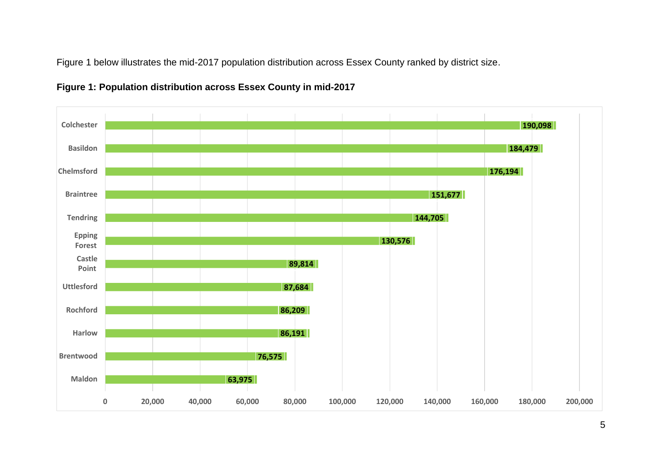Figure 1 below illustrates the mid-2017 population distribution across Essex County ranked by district size.



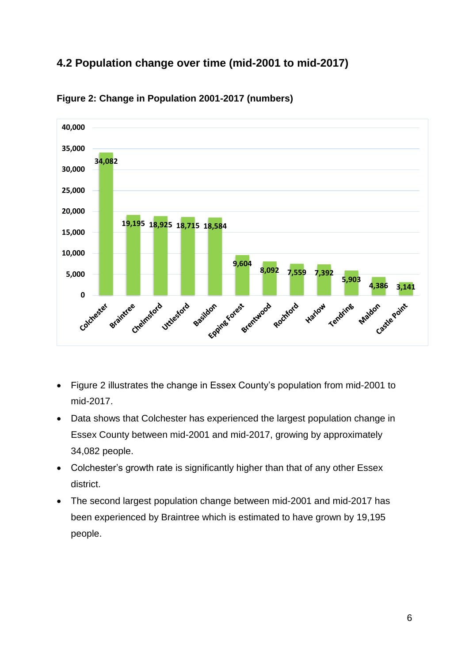# <span id="page-6-0"></span>**4.2 Population change over time (mid-2001 to mid-2017)**



<span id="page-6-1"></span>**Figure 2: Change in Population 2001-2017 (numbers)**

- Figure 2 illustrates the change in Essex County's population from mid-2001 to mid-2017.
- Data shows that Colchester has experienced the largest population change in Essex County between mid-2001 and mid-2017, growing by approximately 34,082 people.
- Colchester's growth rate is significantly higher than that of any other Essex district.
- The second largest population change between mid-2001 and mid-2017 has been experienced by Braintree which is estimated to have grown by 19,195 people.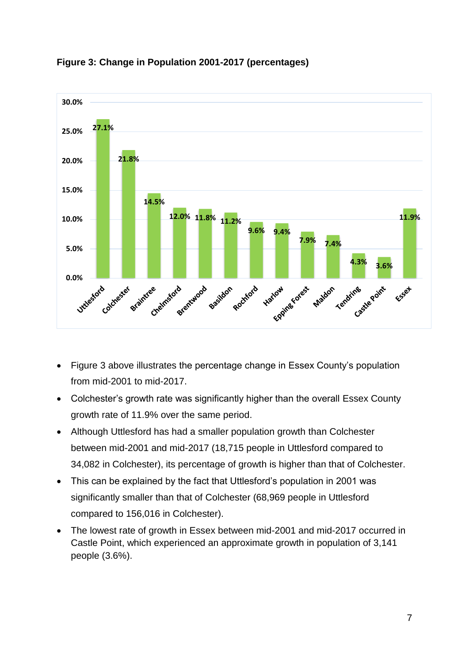

**Figure 3: Change in Population 2001-2017 (percentages)**

- Figure 3 above illustrates the percentage change in Essex County's population from mid-2001 to mid-2017.
- Colchester's growth rate was significantly higher than the overall Essex County growth rate of 11.9% over the same period.
- Although Uttlesford has had a smaller population growth than Colchester between mid-2001 and mid-2017 (18,715 people in Uttlesford compared to 34,082 in Colchester), its percentage of growth is higher than that of Colchester.
- This can be explained by the fact that Uttlesford's population in 2001 was significantly smaller than that of Colchester (68,969 people in Uttlesford compared to 156,016 in Colchester).
- The lowest rate of growth in Essex between mid-2001 and mid-2017 occurred in Castle Point, which experienced an approximate growth in population of 3,141 people (3.6%).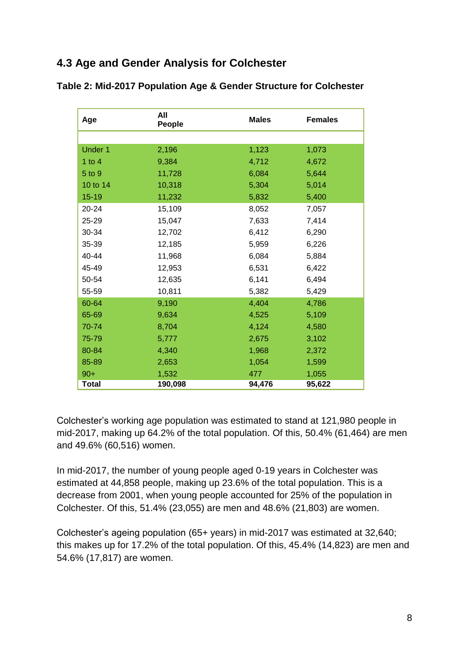### <span id="page-8-0"></span>**4.3 Age and Gender Analysis for Colchester**

| Age       | All<br>People | <b>Males</b> | <b>Females</b> |
|-----------|---------------|--------------|----------------|
|           |               |              |                |
| Under 1   | 2,196         | 1,123        | 1,073          |
| 1 to $4$  | 9,384         | 4,712        | 4,672          |
| 5 to 9    | 11,728        | 6,084        | 5,644          |
| 10 to 14  | 10,318        | 5,304        | 5,014          |
| $15 - 19$ | 11,232        | 5,832        | 5,400          |
| 20-24     | 15,109        | 8,052        | 7,057          |
| 25-29     | 15,047        | 7,633        | 7,414          |
| 30-34     | 12,702        | 6,412        | 6,290          |
| 35-39     | 12,185        | 5,959        | 6,226          |
| 40-44     | 11,968        | 6,084        | 5,884          |
| 45-49     | 12,953        | 6,531        | 6,422          |
| 50-54     | 12,635        | 6,141        | 6,494          |
| 55-59     | 10,811        | 5,382        | 5,429          |
| 60-64     | 9,190         | 4,404        | 4,786          |
| 65-69     | 9,634         | 4,525        | 5,109          |
| 70-74     | 8,704         | 4,124        | 4,580          |
| 75-79     | 5,777         | 2,675        | 3,102          |
| 80-84     | 4,340         | 1,968        | 2,372          |
| 85-89     | 2,653         | 1,054        | 1,599          |
| $90+$     | 1,532         | 477          | 1,055          |
| Total     | 190,098       | 94,476       | 95,622         |

<span id="page-8-1"></span>**Table 2: Mid-2017 Population Age & Gender Structure for Colchester** 

Colchester's working age population was estimated to stand at 121,980 people in mid-2017, making up 64.2% of the total population. Of this, 50.4% (61,464) are men and 49.6% (60,516) women.

In mid-2017, the number of young people aged 0-19 years in Colchester was estimated at 44,858 people, making up 23.6% of the total population. This is a decrease from 2001, when young people accounted for 25% of the population in Colchester. Of this, 51.4% (23,055) are men and 48.6% (21,803) are women.

Colchester's ageing population (65+ years) in mid-2017 was estimated at 32,640; this makes up for 17.2% of the total population. Of this, 45.4% (14,823) are men and 54.6% (17,817) are women.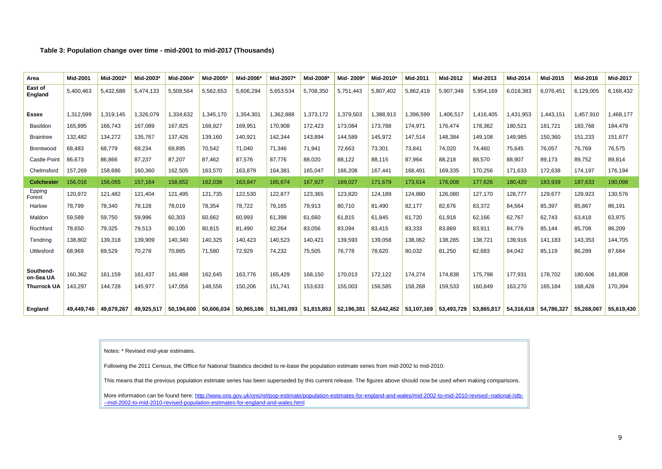#### <span id="page-9-0"></span>**Table 3: Population change over time - mid-2001 to mid-2017 (Thousands)**

| Area                      | <b>Mid-2001</b> | Mid-2002*  | Mid-2003*  | Mid-2004*  | Mid-2005*  | Mid-2006*  | Mid-2007*  | Mid-2008*  | Mid-2009*  | Mid-2010*  | Mid-2011   | Mid-2012   | Mid-2013   | Mid-2014   | Mid-2015   | Mid-2016   | <b>Mid-2017</b> |
|---------------------------|-----------------|------------|------------|------------|------------|------------|------------|------------|------------|------------|------------|------------|------------|------------|------------|------------|-----------------|
| East of<br><b>England</b> | 5,400,463       | 5,432,688  | 5,474,133  | 5,508,564  | 5,562,653  | 5,606,294  | 5,653,534  | 5,708,350  | 5,751,443  | 5,807,402  | 5,862,418  | 5,907,348  | 5,954,169  | 6,018,383  | 6,076,451  | 6,129,005  | 6,168,432       |
| <b>Essex</b>              | 1,312,599       | 1,319,145  | ,326,079   | 1,334,632  | 1,345,170  | 1,354,301  | 1,362,888  | 1,373,172  | ,379,503   | 1,388,913  | 1,396,599  | 1,406,517  | 1,416,405  | 1,431,953  | 1,443,151  | 1,457,910  | ,468,177        |
| Basildon                  | 165,895         | 166,743    | 167,089    | 167,825    | 168,927    | 169,951    | 170,908    | 172,423    | 173,084    | 173,788    | 174,971    | 176,474    | 178,362    | 180,521    | 181,721    | 183,768    | 184,479         |
| <b>Braintree</b>          | 132,482         | 134,272    | 135,767    | 137,426    | 139,160    | 140,921    | 142,344    | 143,894    | 144,589    | 145,972    | 147,514    | 148,384    | 149,108    | 149,985    | 150,360    | 151,233    | 151,677         |
| <b>Brentwood</b>          | 68,483          | 68,779     | 69,234     | 69,895     | 70,542     | 71,040     | 71,346     | 71,941     | 72,663     | 73,301     | 73,841     | 74,020     | 74,460     | 75,645     | 76,057     | 76,769     | 76,575          |
| <b>Castle Point</b>       | 86,673          | 86,866     | 87,237     | 87,207     | 87,462     | 87,576     | 87,776     | 88,020     | 88,122     | 88,115     | 87,964     | 88,218     | 88,570     | 88,907     | 89,173     | 89,752     | 89,814          |
| Chelmsford                | 157,269         | 158,686    | 160,360    | 162,505    | 163,570    | 163,879    | 164,381    | 165,047    | 166,208    | 167,441    | 168,491    | 169,335    | 170,256    | 171,633    | 172,638    | 174,197    | 176,194         |
| <b>Colchester</b>         | 156,016         | 156,055    | 157,164    | 158,652    | 162,038    | 163,847    | 165,674    | 167,927    | 169,027    | 171,679    | 173,614    | 176,008    | 177,626    | 180,420    | 183,939    | 187,633    | 190,098         |
| Epping<br>Forest          | 120,972         | 121,482    | 121,404    | 121,495    | 121,735    | 122,530    | 122,877    | 123,365    | 123,820    | 124,189    | 124,880    | 126,080    | 127,170    | 128,777    | 129,677    | 129,923    | 130,576         |
| Harlow                    | 78,799          | 78,340     | 78,128     | 78,019     | 78,354     | 78,722     | 79,165     | 79,913     | 80,710     | 81,490     | 82,177     | 82,676     | 83,372     | 84,564     | 85,397     | 85,867     | 86,191          |
| Maldon                    | 59,589          | 59,750     | 59,996     | 60,303     | 60,662     | 60,993     | 61,398     | 61,660     | 61,815     | 61,845     | 61,720     | 61,918     | 62,166     | 62,767     | 62,743     | 63,418     | 63,975          |
| Rochford                  | 78,650          | 79,325     | 79,513     | 80,100     | 80,815     | 81,490     | 82,264     | 83,056     | 83,094     | 83,415     | 83,333     | 83,869     | 83,911     | 84,776     | 85,144     | 85,708     | 86,209          |
| Tendring                  | 138,802         | 139,318    | 139,909    | 140,340    | 140,325    | 140,423    | 140,523    | 140,421    | 139,593    | 139,058    | 138,062    | 138,285    | 138,721    | 139,916    | 141,183    | 143,353    | 144,705         |
| Uttlesford                | 68,969          | 69,529     | 70,278     | 70,865     | 71,580     | 72,929     | 74,232     | 75,505     | 76,778     | 78,620     | 80,032     | 81,250     | 82,683     | 84,042     | 85,119     | 86,289     | 87,684          |
|                           |                 |            |            |            |            |            |            |            |            |            |            |            |            |            |            |            |                 |
| Southend-<br>on-Sea UA    | 160,362         | 161,159    | 161,437    | 161,488    | 162,645    | 163,776    | 165,429    | 168,150    | 170,013    | 172,122    | 174,274    | 174,838    | 175,798    | 177,931    | 178,702    | 180,606    | 181,808         |
| <b>Thurrock UA</b>        | 43,297          | 144,728    | 145,977    | 147,056    | 148,556    | 150,206    | 151,741    | 153,633    | 155,003    | 156,585    | 158,268    | 159,533    | 160,849    | 163,270    | 165,184    | 168,428    | 170,394         |
|                           |                 |            |            |            |            |            |            |            |            |            |            |            |            |            |            |            |                 |
| <b>England</b>            | 49,449,746      | 49,679,267 | 49,925,517 | 50,194,600 | 50,606,034 | 50,965,186 | 51,381,093 | 51,815,853 | 52,196,381 | 52,642,452 | 53,107,169 | 53,493,729 | 53,865,817 | 54,316,618 | 54,786,327 | 55,268,067 | 55,619,430      |

More information can be found here: [http://www.ons.gov.uk/ons/rel/pop-estimate/population-estimates-for-england-and-wales/mid-2002-to-mid-2010-revised--national-/stb-](http://www.ons.gov.uk/ons/rel/pop-estimate/population-estimates-for-england-and-wales/mid-2002-to-mid-2010-revised--national-/stb---mid-2002-to-mid-2010-revised-population-estimates-for-england-and-wales.html) [--mid-2002-to-mid-2010-revised-population-estimates-for-england-and-wales.html](http://www.ons.gov.uk/ons/rel/pop-estimate/population-estimates-for-england-and-wales/mid-2002-to-mid-2010-revised--national-/stb---mid-2002-to-mid-2010-revised-population-estimates-for-england-and-wales.html)

Notes: \* Revised mid-year estimates.

Following the 2011 Census, the Office for National Statistics decided to re-base the population estimate series from mid-2002 to mid-2010.

This means that the previous population estimate series has been superseded by this current release. The figures above should now be used when making comparisons.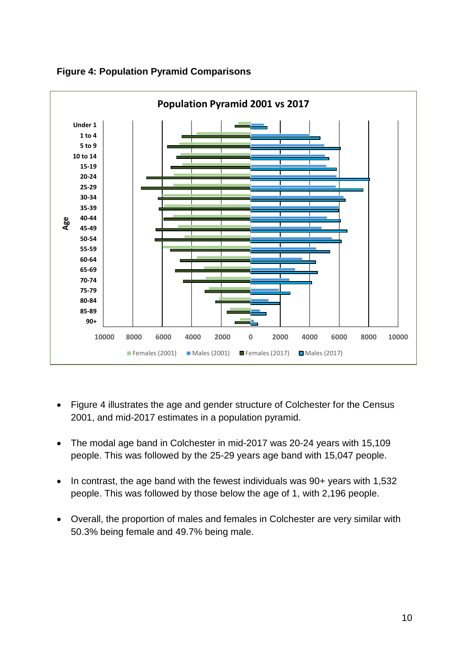

<span id="page-10-0"></span>**Figure 4: Population Pyramid Comparisons**

- Figure 4 illustrates the age and gender structure of Colchester for the Census 2001, and mid-2017 estimates in a population pyramid.
- The modal age band in Colchester in mid-2017 was 20-24 years with 15,109 people. This was followed by the 25-29 years age band with 15,047 people.
- In contrast, the age band with the fewest individuals was 90+ years with 1,532 people. This was followed by those below the age of 1, with 2,196 people.
- Overall, the proportion of males and females in Colchester are very similar with 50.3% being female and 49.7% being male.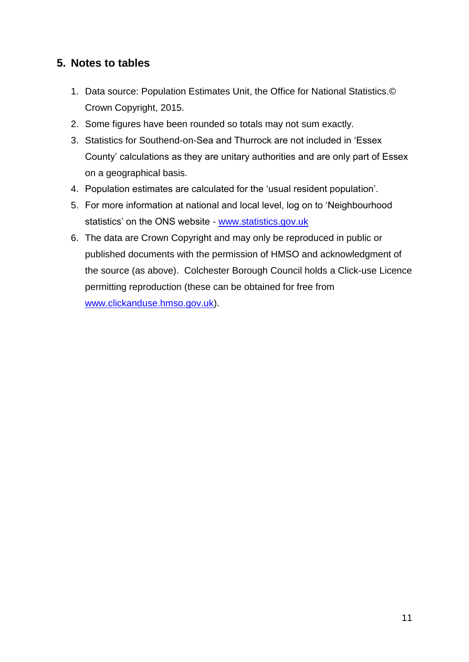#### <span id="page-11-0"></span>**5. Notes to tables**

- 1. Data source: Population Estimates Unit, the Office for National Statistics.© Crown Copyright, 2015.
- 2. Some figures have been rounded so totals may not sum exactly.
- 3. Statistics for Southend-on-Sea and Thurrock are not included in 'Essex County' calculations as they are unitary authorities and are only part of Essex on a geographical basis.
- 4. Population estimates are calculated for the 'usual resident population'.
- 5. For more information at national and local level, log on to 'Neighbourhood statistics' on the ONS website - [www.statistics.gov.uk](http://www.statistics.gov.uk/)
- 6. The data are Crown Copyright and may only be reproduced in public or published documents with the permission of HMSO and acknowledgment of the source (as above). Colchester Borough Council holds a Click-use Licence permitting reproduction (these can be obtained for free from [www.clickanduse.hmso.gov.uk\)](http://www.clickanduse.hmso.gov.uk/).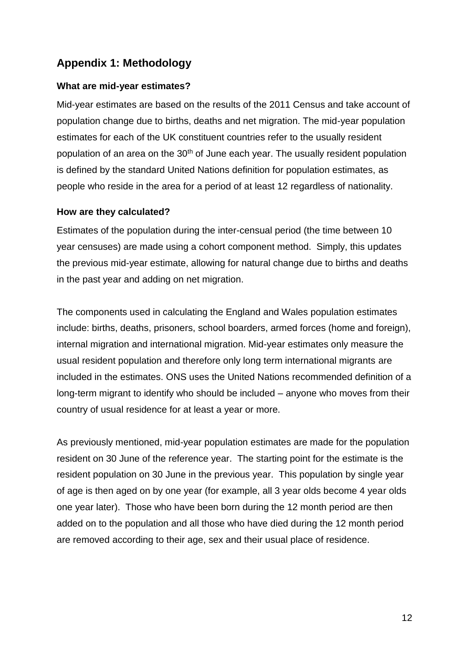#### <span id="page-12-0"></span>**Appendix 1: Methodology**

#### <span id="page-12-1"></span>**What are mid-year estimates?**

Mid-year estimates are based on the results of the 2011 Census and take account of population change due to births, deaths and net migration. The mid-year population estimates for each of the UK constituent countries refer to the usually resident population of an area on the 30<sup>th</sup> of June each year. The usually resident population is defined by the standard United Nations definition for population estimates, as people who reside in the area for a period of at least 12 regardless of nationality.

#### <span id="page-12-2"></span>**How are they calculated?**

Estimates of the population during the inter-censual period (the time between 10 year censuses) are made using a cohort component method. Simply, this updates the previous mid-year estimate, allowing for natural change due to births and deaths in the past year and adding on net migration.

The components used in calculating the England and Wales population estimates include: births, deaths, prisoners, school boarders, armed forces (home and foreign), internal migration and international migration. Mid-year estimates only measure the usual resident population and therefore only long term international migrants are included in the estimates. ONS uses the United Nations recommended definition of a long-term migrant to identify who should be included – anyone who moves from their country of usual residence for at least a year or more.

As previously mentioned, mid-year population estimates are made for the population resident on 30 June of the reference year. The starting point for the estimate is the resident population on 30 June in the previous year. This population by single year of age is then aged on by one year (for example, all 3 year olds become 4 year olds one year later). Those who have been born during the 12 month period are then added on to the population and all those who have died during the 12 month period are removed according to their age, sex and their usual place of residence.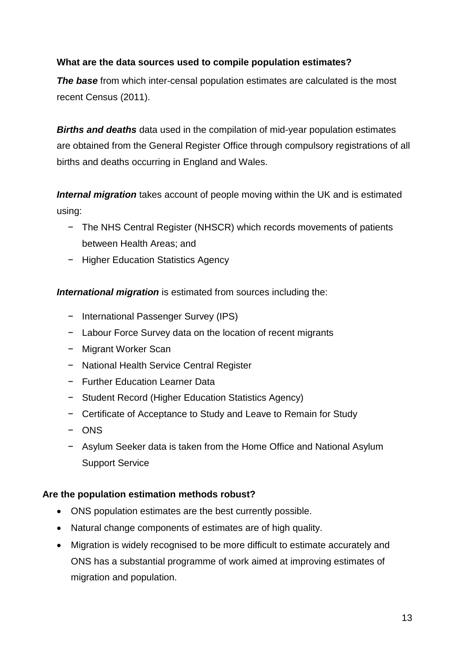#### <span id="page-13-0"></span>**What are the data sources used to compile population estimates?**

**The base** from which inter-censal population estimates are calculated is the most recent Census (2011).

*Births and deaths* data used in the compilation of mid-year population estimates are obtained from the General Register Office through compulsory registrations of all births and deaths occurring in England and Wales.

*Internal migration* takes account of people moving within the UK and is estimated using:

- − The NHS Central Register (NHSCR) which records movements of patients between Health Areas; and
- − Higher Education Statistics Agency

*International migration* is estimated from sources including the:

- − International Passenger Survey (IPS)
- − Labour Force Survey data on the location of recent migrants
- − Migrant Worker Scan
- − National Health Service Central Register
- − Further Education Learner Data
- − Student Record (Higher Education Statistics Agency)
- − Certificate of Acceptance to Study and Leave to Remain for Study
- − ONS
- − Asylum Seeker data is taken from the Home Office and National Asylum Support Service

#### **Are the population estimation methods robust?**

- ONS population estimates are the best currently possible.
- Natural change components of estimates are of high quality.
- Migration is widely recognised to be more difficult to estimate accurately and ONS has a substantial programme of work aimed at improving estimates of migration and population.